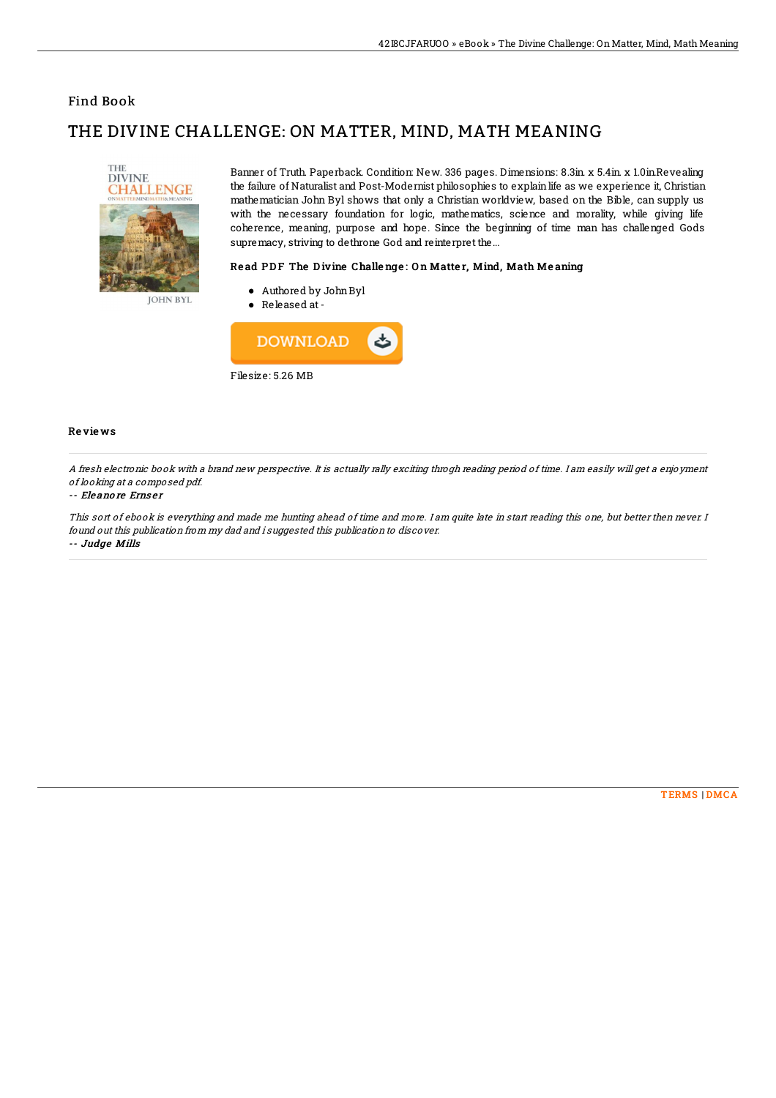### Find Book

# THE DIVINE CHALLENGE: ON MATTER, MIND, MATH MEANING



Banner of Truth. Paperback. Condition: New. 336 pages. Dimensions: 8.3in. x 5.4in. x 1.0in.Revealing the failure of Naturalist and Post-Modernist philosophies to explain life as we experience it, Christian mathematician John Byl shows that only a Christian worldview, based on the Bible, can supply us with the necessary foundation for logic, mathematics, science and morality, while giving life coherence, meaning, purpose and hope. Since the beginning of time man has challenged Gods supremacy, striving to dethrone God and reinterpret the...

#### Read PDF The Divine Challenge: On Matter, Mind, Math Meaning

- Authored by JohnByl
- Released at-



#### Re vie ws

A fresh electronic book with <sup>a</sup> brand new perspective. It is actually rally exciting throgh reading period of time. I am easily will get <sup>a</sup> enjoyment of looking at <sup>a</sup> composed pdf.

#### -- Ele ano re Erns e <sup>r</sup>

This sort of ebook is everything and made me hunting ahead of time and more. I am quite late in start reading this one, but better then never. I found out this publication from my dad and i suggested this publication to discover.

-- Judge Mills